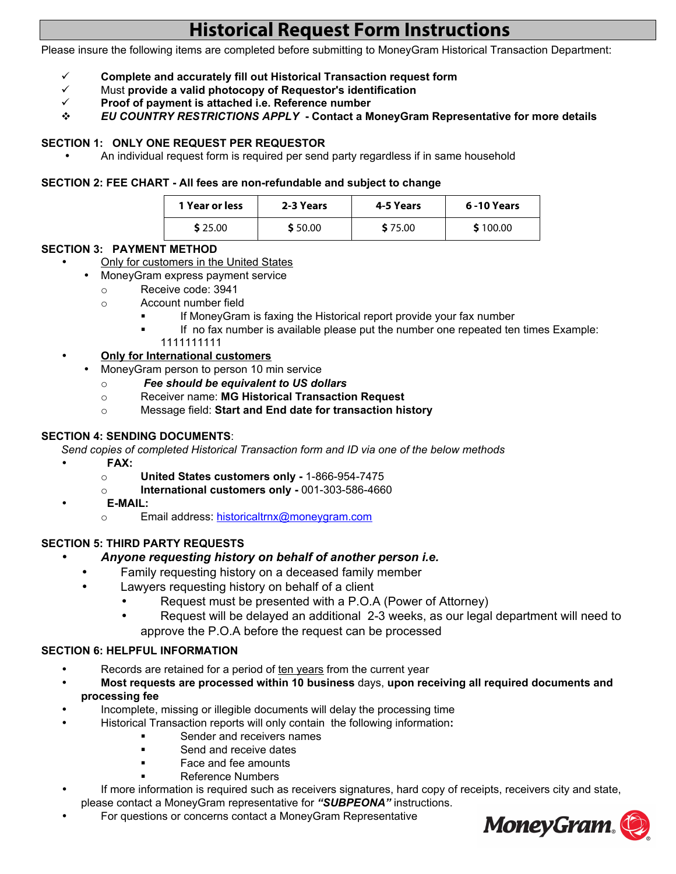# **Historical Request Form Instructions**

Please insure the following items are completed before submitting to MoneyGram Historical Transaction Department:

- ¸ **Complete and accurately fill out Historical Transaction request form**
- ¸ Must **provide a valid photocopy of Requestor's identification**
- ¸ **Proof of payment is attached i.e. Reference number**
- v *EU COUNTRY RESTRICTIONS APPLY* **Contact a MoneyGram Representative for more details**

# **SECTION 1: ONLY ONE REQUEST PER REQUESTOR**

• An individual request form is required per send party regardless if in same household

#### **SECTION 2: FEE CHART - All fees are non-refundable and subject to change**

| 1 Year or less | 2-3 Years | 4-5 Years | 6-10 Years |
|----------------|-----------|-----------|------------|
| \$25.00        | \$50.00   | \$75.00   | \$100.00   |

# **SECTION 3: PAYMENT METHOD**

- Only for customers in the United States
	- MoneyGram express payment service
		- o Receive code: 3941
		- o Account number field
			- ß If MoneyGram is faxing the Historical report provide your fax number
				- ß If no fax number is available please put the number one repeated ten times Example: 1111111111

# • **Only for International customers**

- MoneyGram person to person 10 min service
	- o *Fee should be equivalent to US dollars*
	- o Receiver name: **MG Historical Transaction Request**
	- o Message field: **Start and End date for transaction history**

### **SECTION 4: SENDING DOCUMENTS**:

*Send copies of completed Historical Transaction form and ID via one of the below methods* 

- **FAX:**
	- o **United States customers only** 1-866-954-7475
	- o **International customers only** 001-303-586-4660
- • **E-MAIL:**
	- o Email address: [historicaltrnx@moneygram.com](file:///mailto:historicaltrnx@moneygram.com)

# **SECTION 5: THIRD PARTY REQUESTS**

- *Anyone requesting history on behalf of another person i.e.*
	- Family requesting history on a deceased family member
	- Lawyers requesting history on behalf of a client
		- Request must be presented with a P.O.A (Power of Attorney)
		- Request will be delayed an additional 2-3 weeks, as our legal department will need to approve the P.O.A before the request can be processed

# **SECTION 6: HELPFUL INFORMATION**

- Records are retained for a period of ten years from the current year
- **Most requests are processed within 10 business** days, **upon receiving all required documents and processing fee**
- Incomplete, missing or illegible documents will delay the processing time
	- Historical Transaction reports will only contain the following information**:**
		- ß Sender and receivers names
		- ß Send and receive dates
		- ß Face and fee amounts
		- ß Reference Numbers
- If more information is required such as receivers signatures, hard copy of receipts, receivers city and state, please contact a MoneyGram representative for *"SUBPEONA"* instructions.
- For questions or concerns contact a MoneyGram Representative